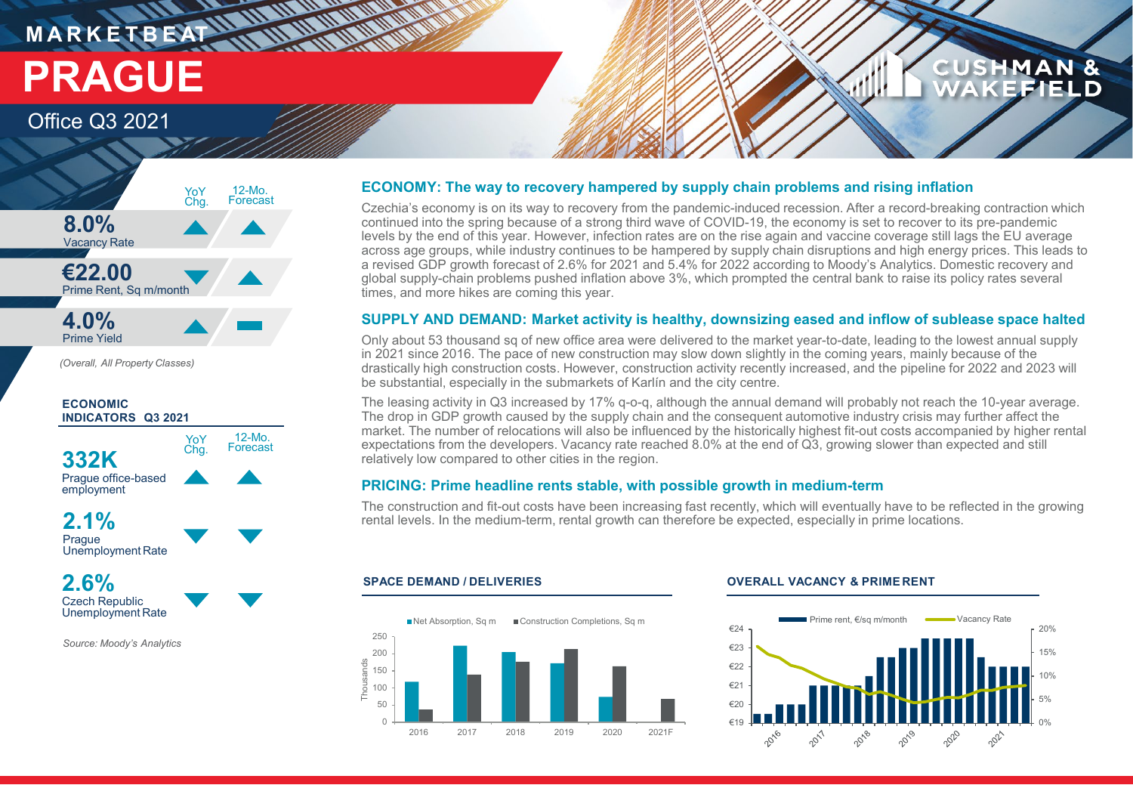## **M A R K E T B E AT PRAGUE**

## Office Q3 2021



**THE UNITED WARRANT** 

*(Overall, All Property Classes)*



*Source: Moody's Analytics*

#### **ECONOMY: The way to recovery hampered by supply chain problems and rising inflation**

Czechia's economy is on its way to recovery from the pandemic-induced recession. After a record-breaking contraction which continued into the spring because of a strong third wave of COVID-19, the economy is set to recover to its pre-pandemic levels by the end of this year. However, infection rates are on the rise again and vaccine coverage still lags the EU average across age groups, while industry continues to be hampered by supply chain disruptions and high energy prices. This leads to a revised GDP growth forecast of 2.6% for 2021 and 5.4% for 2022 according to Moody's Analytics. Domestic recovery and global supply-chain problems pushed inflation above 3%, which prompted the central bank to raise its policy rates several times, and more hikes are coming this year.

#### **SUPPLY AND DEMAND: Market activity is healthy, downsizing eased and inflow of sublease space halted**

Only about 53 thousand sq of new office area were delivered to the market year-to-date, leading to the lowest annual supply in 2021 since 2016. The pace of new construction may slow down slightly in the coming years, mainly because of the drastically high construction costs. However, construction activity recently increased, and the pipeline for 2022 and 2023 will be substantial, especially in the submarkets of Karlín and the city centre.

The leasing activity in Q3 increased by 17% q-o-q, although the annual demand will probably not reach the 10-year average. The drop in GDP growth caused by the supply chain and the consequent automotive industry crisis may further affect the market. The number of relocations will also be influenced by the historically highest fit-out costs accompanied by higher rental expectations from the developers. Vacancy rate reached 8.0% at the end of Q3, growing slower than expected and still relatively low compared to other cities in the region.

#### **PRICING: Prime headline rents stable, with possible growth in medium-term**

The construction and fit-out costs have been increasing fast recently, which will eventually have to be reflected in the growing rental levels. In the medium-term, rental growth can therefore be expected, especially in prime locations.



#### **SPACE DEMAND / DELIVERIES OVERALL VACANCY & PRIME RENT**



**CUSHMAN &** 

**EFIELD**